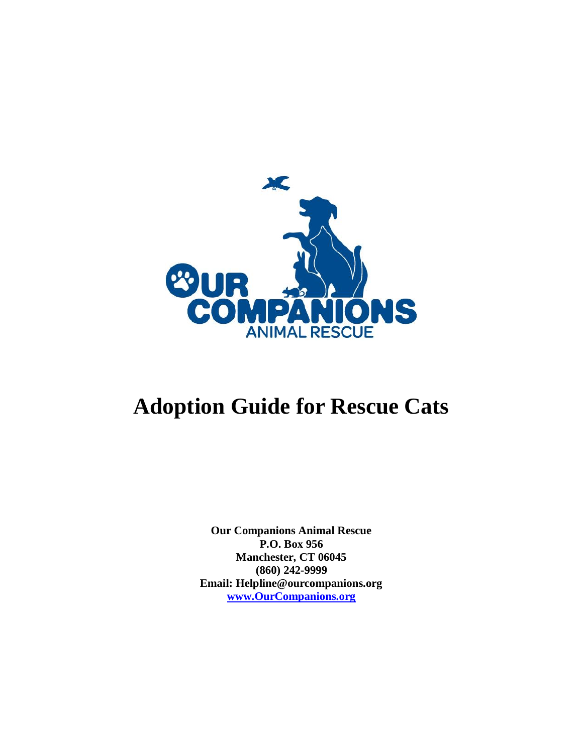

## **Adoption Guide for Rescue Cats**

**Our Companions Animal Rescue P.O. Box 956 Manchester, CT 06045 (860) 242-9999 Email: Helpline@ourcompanions.org [www.OurCompanions.org](http://www.ourcompanions.org/)**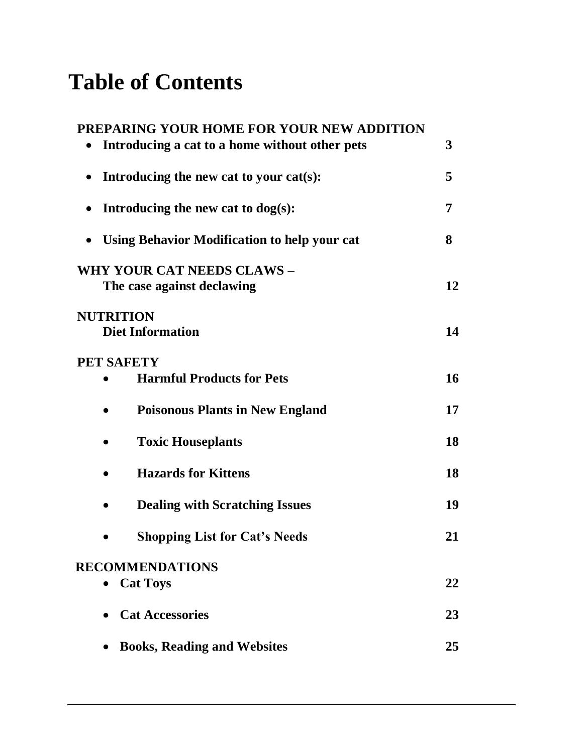## **Table of Contents**

| PREPARING YOUR HOME FOR YOUR NEW ADDITION                 |    |
|-----------------------------------------------------------|----|
| Introducing a cat to a home without other pets            | 3  |
| Introducing the new cat to your cat(s):                   | 5  |
| Introducing the new cat to $dog(s)$ :<br>$\bullet$        | 7  |
| Using Behavior Modification to help your cat<br>$\bullet$ | 8  |
| WHY YOUR CAT NEEDS CLAWS -<br>The case against declawing  | 12 |
| <b>NUTRITION</b><br><b>Diet Information</b>               | 14 |
| PET SAFETY                                                |    |
| <b>Harmful Products for Pets</b>                          | 16 |
| <b>Poisonous Plants in New England</b>                    | 17 |
| <b>Toxic Houseplants</b>                                  | 18 |
| <b>Hazards for Kittens</b>                                | 18 |
| <b>Dealing with Scratching Issues</b>                     | 19 |
| <b>Shopping List for Cat's Needs</b>                      | 21 |
| <b>RECOMMENDATIONS</b>                                    |    |
| <b>Cat Toys</b>                                           | 22 |
| <b>Cat Accessories</b>                                    | 23 |
| <b>Books, Reading and Websites</b>                        | 25 |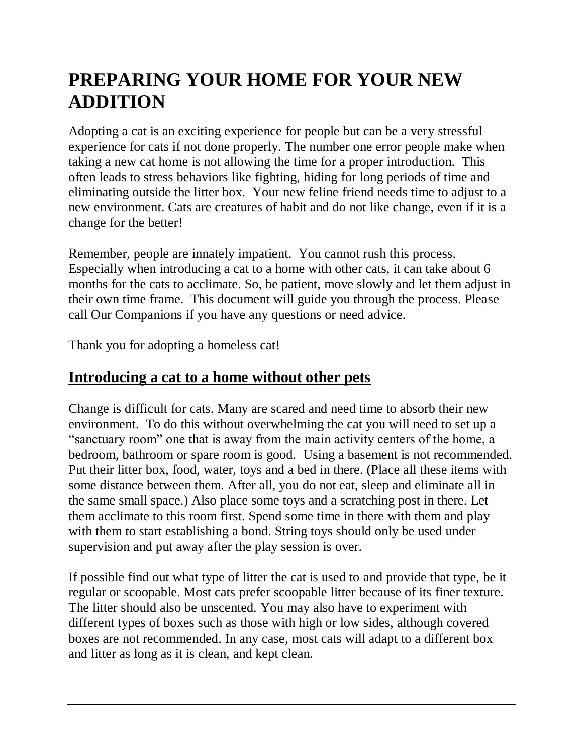## **PREPARING YOUR HOME FOR YOUR NEW ADDITION**

Adopting a cat is an exciting experience for people but can be a very stressful experience for cats if not done properly. The number one error people make when taking a new cat home is not allowing the time for a proper introduction. This often leads to stress behaviors like fighting, hiding for long periods of time and eliminating outside the litter box. Your new feline friend needs time to adjust to a new environment. Cats are creatures of habit and do not like change, even if it is a change for the better!

Remember, people are innately impatient. You cannot rush this process. Especially when introducing a cat to a home with other cats, it can take about 6 months for the cats to acclimate. So, be patient, move slowly and let them adjust in their own time frame. This document will guide you through the process. Please call Our Companions if you have any questions or need advice.

Thank you for adopting a homeless cat!

### <span id="page-2-0"></span>**Introducing a cat to a home without other pets**

Change is difficult for cats. Many are scared and need time to absorb their new environment. To do this without overwhelming the cat you will need to set up a "sanctuary room" one that is away from the main activity centers of the home, a bedroom, bathroom or spare room is good. Using a basement is not recommended. Put their litter box, food, water, toys and a bed in there. (Place all these items with some distance between them. After all, you do not eat, sleep and eliminate all in the same small space.) Also place some toys and a scratching post in there. Let them acclimate to this room first. Spend some time in there with them and play with them to start establishing a bond. String toys should only be used under supervision and put away after the play session is over.

If possible find out what type of litter the cat is used to and provide that type, be it regular or scoopable. Most cats prefer scoopable litter because of its finer texture. The litter should also be unscented. You may also have to experiment with different types of boxes such as those with high or low sides, although covered boxes are not recommended. In any case, most cats will adapt to a different box and litter as long as it is clean, and kept clean.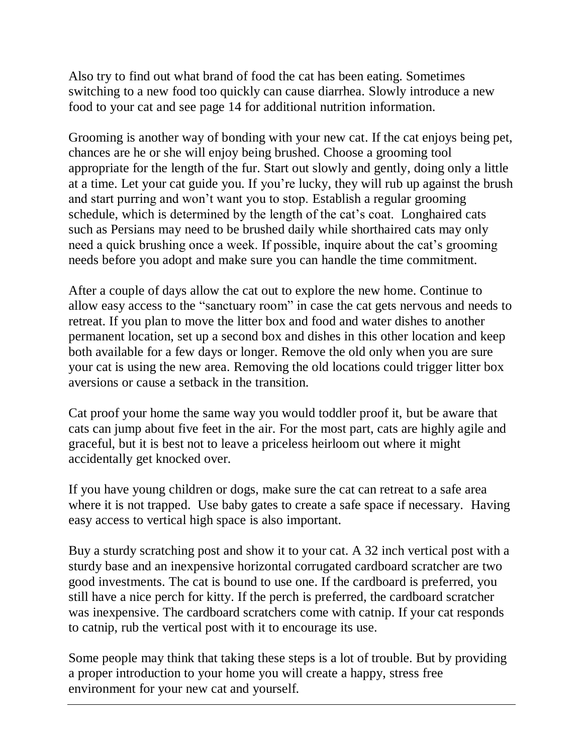Also try to find out what brand of food the cat has been eating. Sometimes switching to a new food too quickly can cause diarrhea. Slowly introduce a new food to your cat and see page 14 for additional nutrition information.

Grooming is another way of bonding with your new cat. If the cat enjoys being pet, chances are he or she will enjoy being brushed. Choose a grooming tool appropriate for the length of the fur. Start out slowly and gently, doing only a little at a time. Let your cat guide you. If you're lucky, they will rub up against the brush and start purring and won't want you to stop. Establish a regular grooming schedule, which is determined by the length of the cat's coat. Longhaired cats such as Persians may need to be brushed daily while shorthaired cats may only need a quick brushing once a week. If possible, inquire about the cat's grooming needs before you adopt and make sure you can handle the time commitment.

After a couple of days allow the cat out to explore the new home. Continue to allow easy access to the "sanctuary room" in case the cat gets nervous and needs to retreat. If you plan to move the litter box and food and water dishes to another permanent location, set up a second box and dishes in this other location and keep both available for a few days or longer. Remove the old only when you are sure your cat is using the new area. Removing the old locations could trigger litter box aversions or cause a setback in the transition.

Cat proof your home the same way you would toddler proof it, but be aware that cats can jump about five feet in the air. For the most part, cats are highly agile and graceful, but it is best not to leave a priceless heirloom out where it might accidentally get knocked over.

If you have young children or dogs, make sure the cat can retreat to a safe area where it is not trapped. Use baby gates to create a safe space if necessary. Having easy access to vertical high space is also important.

Buy a sturdy scratching post and show it to your cat. A 32 inch vertical post with a sturdy base and an inexpensive horizontal corrugated cardboard scratcher are two good investments. The cat is bound to use one. If the cardboard is preferred, you still have a nice perch for kitty. If the perch is preferred, the cardboard scratcher was inexpensive. The cardboard scratchers come with catnip. If your cat responds to catnip, rub the vertical post with it to encourage its use.

<span id="page-3-0"></span>Some people may think that taking these steps is a lot of trouble. But by providing a proper introduction to your home you will create a happy, stress free environment for your new cat and yourself.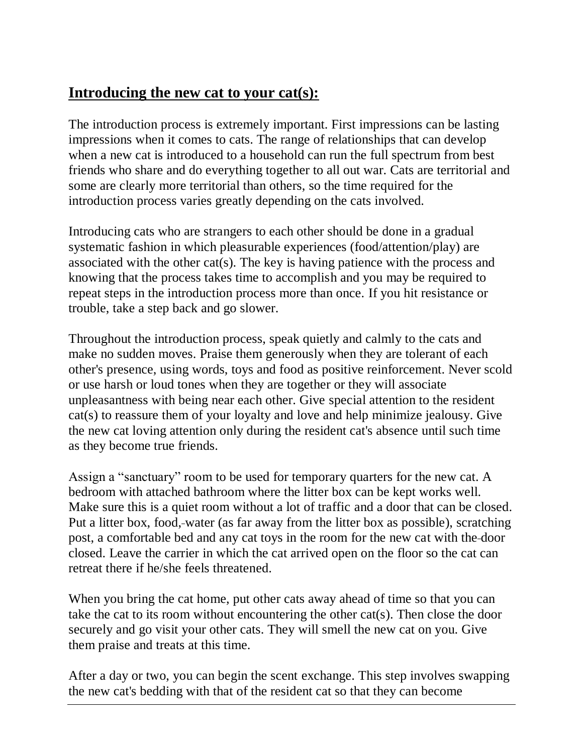### **Introducing the new cat to your cat(s):**

The introduction process is extremely important. First impressions can be lasting impressions when it comes to cats. The range of relationships that can develop when a new cat is introduced to a household can run the full spectrum from best friends who share and do everything together to all out war. Cats are territorial and some are clearly more territorial than others, so the time required for the introduction process varies greatly depending on the cats involved.

Introducing cats who are strangers to each other should be done in a gradual systematic fashion in which pleasurable experiences (food/attention/play) are associated with the other cat(s). The key is having patience with the process and knowing that the process takes time to accomplish and you may be required to repeat steps in the introduction process more than once. If you hit resistance or trouble, take a step back and go slower.

Throughout the introduction process, speak quietly and calmly to the cats and make no sudden moves. Praise them generously when they are tolerant of each other's presence, using words, toys and food as positive reinforcement. Never scold or use harsh or loud tones when they are together or they will associate unpleasantness with being near each other. Give special attention to the resident cat(s) to reassure them of your loyalty and love and help minimize jealousy. Give the new cat loving attention only during the resident cat's absence until such time as they become true friends.

Assign a "sanctuary" room to be used for temporary quarters for the new cat. A bedroom with attached bathroom where the litter box can be kept works well. Make sure this is a quiet room without a lot of traffic and a door that can be closed. Put a litter box, food, water (as far away from the litter box as possible), scratching post, a comfortable bed and any cat toys in the room for the new cat with the door closed. Leave the carrier in which the cat arrived open on the floor so the cat can retreat there if he/she feels threatened.

When you bring the cat home, put other cats away ahead of time so that you can take the cat to its room without encountering the other cat(s). Then close the door securely and go visit your other cats. They will smell the new cat on you. Give them praise and treats at this time.

After a day or two, you can begin the scent exchange. This step involves swapping the new cat's bedding with that of the resident cat so that they can become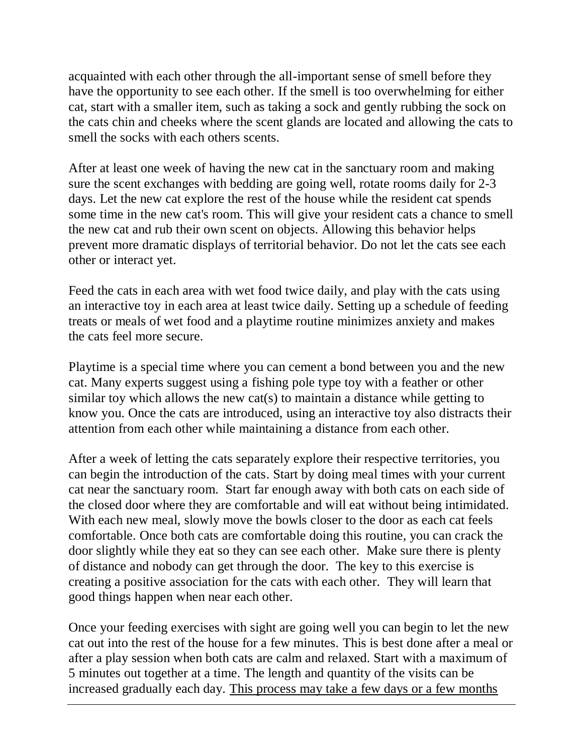acquainted with each other through the all-important sense of smell before they have the opportunity to see each other. If the smell is too overwhelming for either cat, start with a smaller item, such as taking a sock and gently rubbing the sock on the cats chin and cheeks where the scent glands are located and allowing the cats to smell the socks with each others scents.

After at least one week of having the new cat in the sanctuary room and making sure the scent exchanges with bedding are going well, rotate rooms daily for 2-3 days. Let the new cat explore the rest of the house while the resident cat spends some time in the new cat's room. This will give your resident cats a chance to smell the new cat and rub their own scent on objects. Allowing this behavior helps prevent more dramatic displays of territorial behavior. Do not let the cats see each other or interact yet.

Feed the cats in each area with wet food twice daily, and play with the cats using an interactive toy in each area at least twice daily. Setting up a schedule of feeding treats or meals of wet food and a playtime routine minimizes anxiety and makes the cats feel more secure.

Playtime is a special time where you can cement a bond between you and the new cat. Many experts suggest using a fishing pole type toy with a feather or other similar toy which allows the new cat(s) to maintain a distance while getting to know you. Once the cats are introduced, using an interactive toy also distracts their attention from each other while maintaining a distance from each other.

After a week of letting the cats separately explore their respective territories, you can begin the introduction of the cats. Start by doing meal times with your current cat near the sanctuary room. Start far enough away with both cats on each side of the closed door where they are comfortable and will eat without being intimidated. With each new meal, slowly move the bowls closer to the door as each cat feels comfortable. Once both cats are comfortable doing this routine, you can crack the door slightly while they eat so they can see each other. Make sure there is plenty of distance and nobody can get through the door. The key to this exercise is creating a positive association for the cats with each other. They will learn that good things happen when near each other.

Once your feeding exercises with sight are going well you can begin to let the new cat out into the rest of the house for a few minutes. This is best done after a meal or after a play session when both cats are calm and relaxed. Start with a maximum of 5 minutes out together at a time. The length and quantity of the visits can be increased gradually each day. This process may take a few days or a few months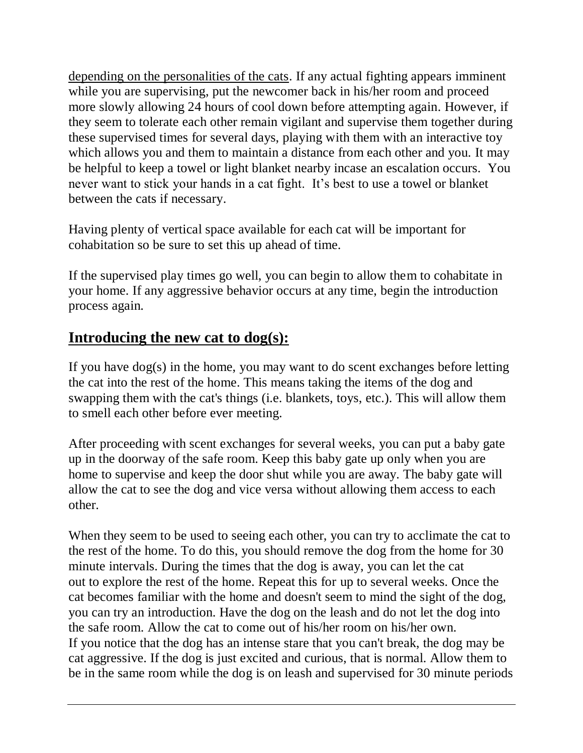depending on the personalities of the cats. If any actual fighting appears imminent while you are supervising, put the newcomer back in his/her room and proceed more slowly allowing 24 hours of cool down before attempting again. However, if they seem to tolerate each other remain vigilant and supervise them together during these supervised times for several days, playing with them with an interactive toy which allows you and them to maintain a distance from each other and you. It may be helpful to keep a towel or light blanket nearby incase an escalation occurs. You never want to stick your hands in a cat fight. It's best to use a towel or blanket between the cats if necessary.

Having plenty of vertical space available for each cat will be important for cohabitation so be sure to set this up ahead of time.

If the supervised play times go well, you can begin to allow them to cohabitate in your home. If any aggressive behavior occurs at any time, begin the introduction process again.

### <span id="page-6-0"></span>**Introducing the new cat to dog(s):**

If you have dog(s) in the home, you may want to do scent exchanges before letting the cat into the rest of the home. This means taking the items of the dog and swapping them with the cat's things (i.e. blankets, toys, etc.). This will allow them to smell each other before ever meeting.

After proceeding with scent exchanges for several weeks, you can put a baby gate up in the doorway of the safe room. Keep this baby gate up only when you are home to supervise and keep the door shut while you are away. The baby gate will allow the cat to see the dog and vice versa without allowing them access to each other.

When they seem to be used to seeing each other, you can try to acclimate the cat to the rest of the home. To do this, you should remove the dog from the home for 30 minute intervals. During the times that the dog is away, you can let the cat out to explore the rest of the home. Repeat this for up to several weeks. Once the cat becomes familiar with the home and doesn't seem to mind the sight of the dog, you can try an introduction. Have the dog on the leash and do not let the dog into the safe room. Allow the cat to come out of his/her room on his/her own. If you notice that the dog has an intense stare that you can't break, the dog may be cat aggressive. If the dog is just excited and curious, that is normal. Allow them to be in the same room while the dog is on leash and supervised for 30 minute periods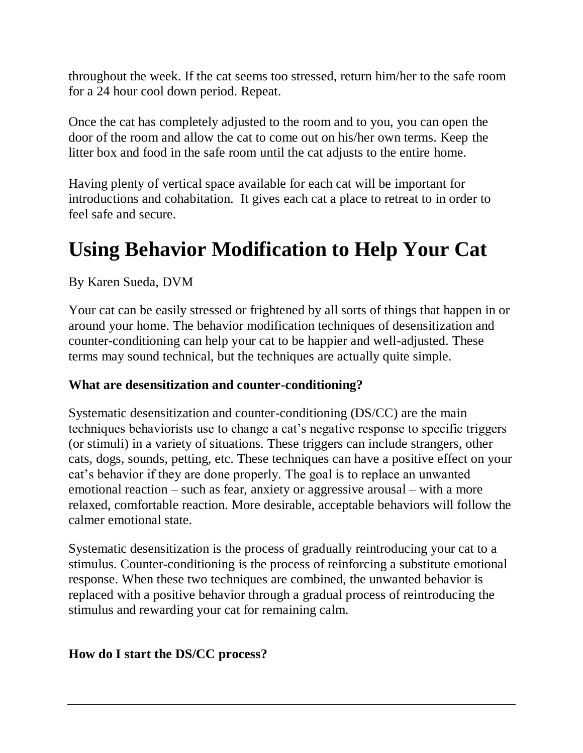throughout the week. If the cat seems too stressed, return him/her to the safe room for a 24 hour cool down period. Repeat.

Once the cat has completely adjusted to the room and to you, you can open the door of the room and allow the cat to come out on his/her own terms. Keep the litter box and food in the safe room until the cat adjusts to the entire home.

Having plenty of vertical space available for each cat will be important for introductions and cohabitation. It gives each cat a place to retreat to in order to feel safe and secure.

## <span id="page-7-0"></span>**Using Behavior Modification to Help Your Cat**

By Karen Sueda, DVM

Your cat can be easily stressed or frightened by all sorts of things that happen in or around your home. The behavior modification techniques of desensitization and counter-conditioning can help your cat to be happier and well-adjusted. These terms may sound technical, but the techniques are actually quite simple.

#### **What are desensitization and counter-conditioning?**

Systematic desensitization and counter-conditioning (DS/CC) are the main techniques behaviorists use to change a cat's negative response to specific triggers (or stimuli) in a variety of situations. These triggers can include strangers, other cats, dogs, sounds, petting, etc. These techniques can have a positive effect on your cat's behavior if they are done properly. The goal is to replace an unwanted emotional reaction – such as fear, anxiety or aggressive arousal – with a more relaxed, comfortable reaction. More desirable, acceptable behaviors will follow the calmer emotional state.

Systematic desensitization is the process of gradually reintroducing your cat to a stimulus. Counter-conditioning is the process of reinforcing a substitute emotional response. When these two techniques are combined, the unwanted behavior is replaced with a positive behavior through a gradual process of reintroducing the stimulus and rewarding your cat for remaining calm.

#### **How do I start the DS/CC process?**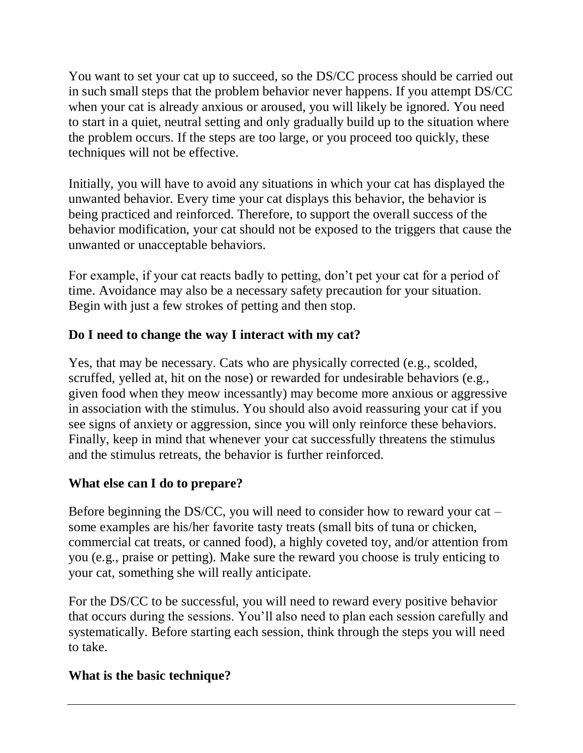You want to set your cat up to succeed, so the DS/CC process should be carried out in such small steps that the problem behavior never happens. If you attempt DS/CC when your cat is already anxious or aroused, you will likely be ignored. You need to start in a quiet, neutral setting and only gradually build up to the situation where the problem occurs. If the steps are too large, or you proceed too quickly, these techniques will not be effective.

Initially, you will have to avoid any situations in which your cat has displayed the unwanted behavior. Every time your cat displays this behavior, the behavior is being practiced and reinforced. Therefore, to support the overall success of the behavior modification, your cat should not be exposed to the triggers that cause the unwanted or unacceptable behaviors.

For example, if your cat reacts badly to petting, don't pet your cat for a period of time. Avoidance may also be a necessary safety precaution for your situation. Begin with just a few strokes of petting and then stop.

#### **Do I need to change the way I interact with my cat?**

Yes, that may be necessary. Cats who are physically corrected (e.g., scolded, scruffed, yelled at, hit on the nose) or rewarded for undesirable behaviors (e.g., given food when they meow incessantly) may become more anxious or aggressive in association with the stimulus. You should also avoid reassuring your cat if you see signs of anxiety or aggression, since you will only reinforce these behaviors. Finally, keep in mind that whenever your cat successfully threatens the stimulus and the stimulus retreats, the behavior is further reinforced.

#### **What else can I do to prepare?**

Before beginning the DS/CC, you will need to consider how to reward your cat – some examples are his/her favorite tasty treats (small bits of tuna or chicken, commercial cat treats, or canned food), a highly coveted toy, and/or attention from you (e.g., praise or petting). Make sure the reward you choose is truly enticing to your cat, something she will really anticipate.

For the DS/CC to be successful, you will need to reward every positive behavior that occurs during the sessions. You'll also need to plan each session carefully and systematically. Before starting each session, think through the steps you will need to take.

#### **What is the basic technique?**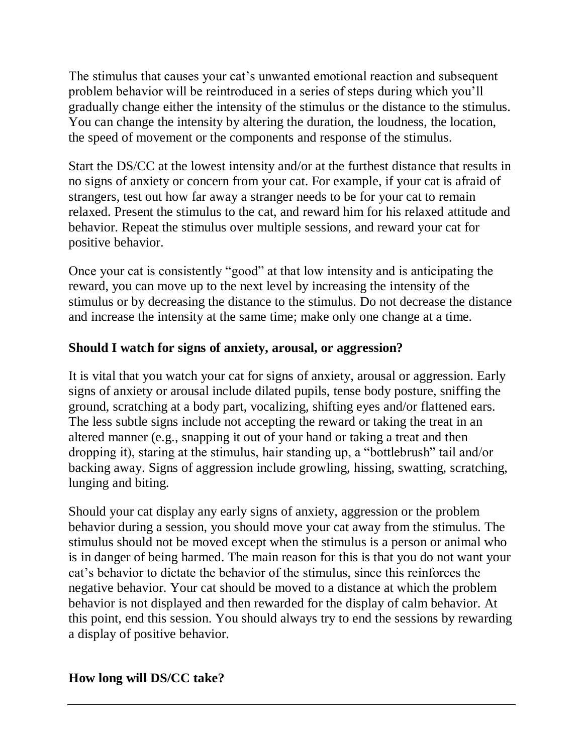The stimulus that causes your cat's unwanted emotional reaction and subsequent problem behavior will be reintroduced in a series of steps during which you'll gradually change either the intensity of the stimulus or the distance to the stimulus. You can change the intensity by altering the duration, the loudness, the location, the speed of movement or the components and response of the stimulus.

Start the DS/CC at the lowest intensity and/or at the furthest distance that results in no signs of anxiety or concern from your cat. For example, if your cat is afraid of strangers, test out how far away a stranger needs to be for your cat to remain relaxed. Present the stimulus to the cat, and reward him for his relaxed attitude and behavior. Repeat the stimulus over multiple sessions, and reward your cat for positive behavior.

Once your cat is consistently "good" at that low intensity and is anticipating the reward, you can move up to the next level by increasing the intensity of the stimulus or by decreasing the distance to the stimulus. Do not decrease the distance and increase the intensity at the same time; make only one change at a time.

#### **Should I watch for signs of anxiety, arousal, or aggression?**

It is vital that you watch your cat for signs of anxiety, arousal or aggression. Early signs of anxiety or arousal include dilated pupils, tense body posture, sniffing the ground, scratching at a body part, vocalizing, shifting eyes and/or flattened ears. The less subtle signs include not accepting the reward or taking the treat in an altered manner (e.g., snapping it out of your hand or taking a treat and then dropping it), staring at the stimulus, hair standing up, a "bottlebrush" tail and/or backing away. Signs of aggression include growling, hissing, swatting, scratching, lunging and biting.

Should your cat display any early signs of anxiety, aggression or the problem behavior during a session, you should move your cat away from the stimulus. The stimulus should not be moved except when the stimulus is a person or animal who is in danger of being harmed. The main reason for this is that you do not want your cat's behavior to dictate the behavior of the stimulus, since this reinforces the negative behavior. Your cat should be moved to a distance at which the problem behavior is not displayed and then rewarded for the display of calm behavior. At this point, end this session. You should always try to end the sessions by rewarding a display of positive behavior.

#### **How long will DS/CC take?**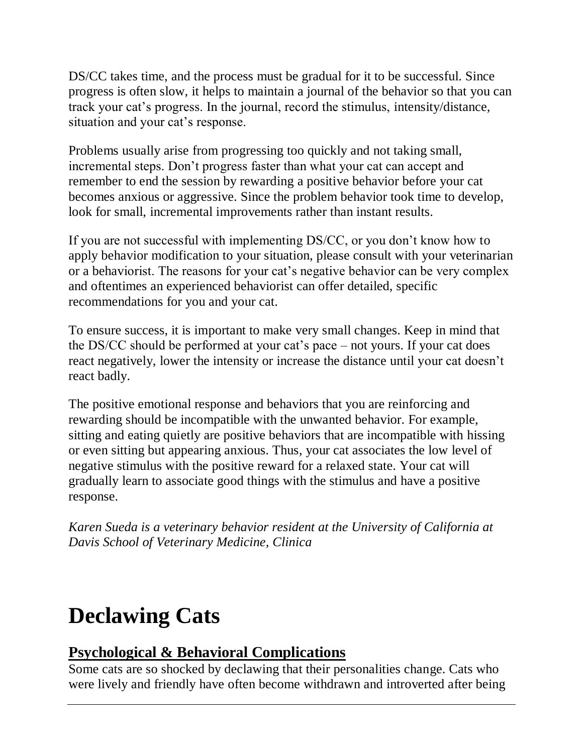DS/CC takes time, and the process must be gradual for it to be successful. Since progress is often slow, it helps to maintain a journal of the behavior so that you can track your cat's progress. In the journal, record the stimulus, intensity/distance, situation and your cat's response.

Problems usually arise from progressing too quickly and not taking small, incremental steps. Don't progress faster than what your cat can accept and remember to end the session by rewarding a positive behavior before your cat becomes anxious or aggressive. Since the problem behavior took time to develop, look for small, incremental improvements rather than instant results.

If you are not successful with implementing DS/CC, or you don't know how to apply behavior modification to your situation, please consult with your veterinarian or a behaviorist. The reasons for your cat's negative behavior can be very complex and oftentimes an experienced behaviorist can offer detailed, specific recommendations for you and your cat.

To ensure success, it is important to make very small changes. Keep in mind that the DS/CC should be performed at your cat's pace – not yours. If your cat does react negatively, lower the intensity or increase the distance until your cat doesn't react badly.

The positive emotional response and behaviors that you are reinforcing and rewarding should be incompatible with the unwanted behavior. For example, sitting and eating quietly are positive behaviors that are incompatible with hissing or even sitting but appearing anxious. Thus, your cat associates the low level of negative stimulus with the positive reward for a relaxed state. Your cat will gradually learn to associate good things with the stimulus and have a positive response.

<span id="page-10-0"></span>*Karen Sueda is a veterinary behavior resident at the University of California at Davis School of Veterinary Medicine, Clinica*

# **Declawing Cats**

### **Psychological & Behavioral Complications**

Some cats are so shocked by declawing that their personalities change. Cats who were lively and friendly have often become withdrawn and introverted after being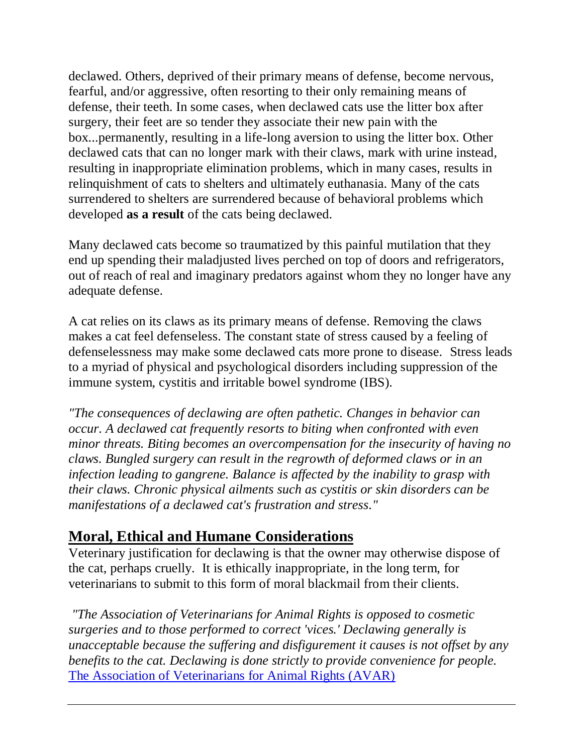declawed. Others, deprived of their primary means of defense, become nervous, fearful, and/or aggressive, often resorting to their only remaining means of defense, their teeth. In some cases, when declawed cats use the litter box after surgery, their feet are so tender they associate their new pain with the box...permanently, resulting in a life-long aversion to using the litter box. Other declawed cats that can no longer mark with their claws, mark with urine instead, resulting in inappropriate elimination problems, which in many cases, results in relinquishment of cats to shelters and ultimately euthanasia. Many of the cats surrendered to shelters are surrendered because of behavioral problems which developed **as a result** of the cats being declawed.

Many declawed cats become so traumatized by this painful mutilation that they end up spending their maladjusted lives perched on top of doors and refrigerators, out of reach of real and imaginary predators against whom they no longer have any adequate defense.

A cat relies on its claws as its primary means of defense. Removing the claws makes a cat feel defenseless. The constant state of stress caused by a feeling of defenselessness may make some declawed cats more prone to disease. Stress leads to a myriad of physical and psychological disorders including suppression of the immune system, cystitis and irritable bowel syndrome (IBS).

*"The consequences of declawing are often pathetic. Changes in behavior can occur. A declawed cat frequently resorts to biting when confronted with even minor threats. Biting becomes an overcompensation for the insecurity of having no claws. Bungled surgery can result in the regrowth of deformed claws or in an infection leading to gangrene. Balance is affected by the inability to grasp with their claws. Chronic physical ailments such as cystitis or skin disorders can be manifestations of a declawed cat's frustration and stress."*

### **Moral, Ethical and Humane Considerations**

Veterinary justification for declawing is that the owner may otherwise dispose of the cat, perhaps cruelly. It is ethically inappropriate, in the long term, for veterinarians to submit to this form of moral blackmail from their clients.

*"The Association of Veterinarians for Animal Rights is opposed to cosmetic surgeries and to those performed to correct 'vices.' Declawing generally is unacceptable because the suffering and disfigurement it causes is not offset by any benefits to the cat. Declawing is done strictly to provide convenience for people.*  [The Association of Veterinarians for Animal Rights \(AVAR\)](http://www.avar.org/)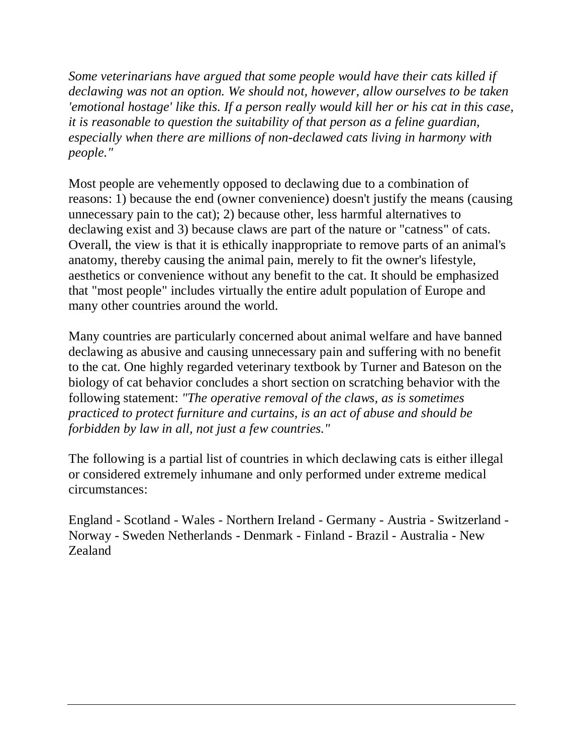*Some veterinarians have argued that some people would have their cats killed if declawing was not an option. We should not, however, allow ourselves to be taken 'emotional hostage' like this. If a person really would kill her or his cat in this case, it is reasonable to question the suitability of that person as a feline guardian, especially when there are millions of non-declawed cats living in harmony with people."*

Most people are vehemently opposed to declawing due to a combination of reasons: 1) because the end (owner convenience) doesn't justify the means (causing unnecessary pain to the cat); 2) because other, less harmful alternatives to declawing exist and 3) because claws are part of the nature or "catness" of cats. Overall, the view is that it is ethically inappropriate to remove parts of an animal's anatomy, thereby causing the animal pain, merely to fit the owner's lifestyle, aesthetics or convenience without any benefit to the cat. It should be emphasized that "most people" includes virtually the entire adult population of Europe and many other countries around the world.

Many countries are particularly concerned about animal welfare and have banned declawing as abusive and causing unnecessary pain and suffering with no benefit to the cat. One highly regarded veterinary textbook by Turner and Bateson on the biology of cat behavior concludes a short section on scratching behavior with the following statement: *"The operative removal of the claws, as is sometimes practiced to protect furniture and curtains, is an act of abuse and should be forbidden by law in all, not just a few countries."* 

The following is a partial list of countries in which declawing cats is either illegal or considered extremely inhumane and only performed under extreme medical circumstances:

<span id="page-12-0"></span>England - Scotland - Wales - Northern Ireland - Germany - Austria - Switzerland - Norway - Sweden Netherlands - Denmark - Finland - Brazil - Australia - New Zealand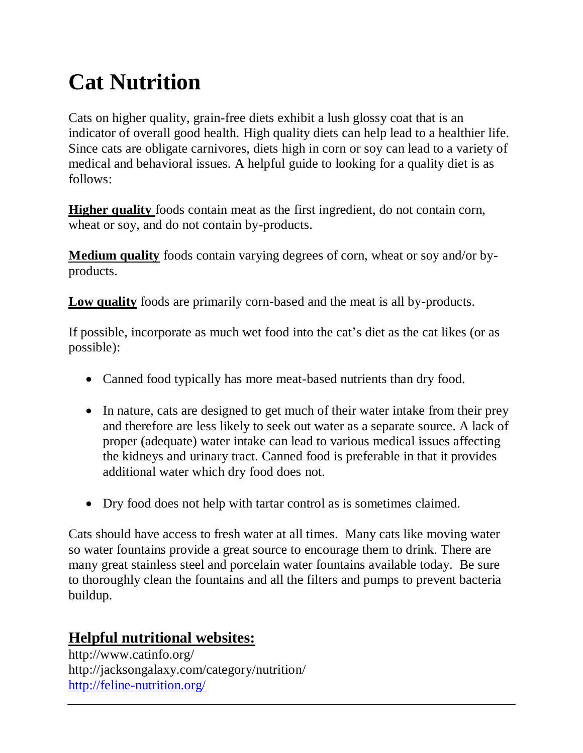# **Cat Nutrition**

Cats on higher quality, grain-free diets exhibit a lush glossy coat that is an indicator of overall good health. High quality diets can help lead to a healthier life. Since cats are obligate carnivores, diets high in corn or soy can lead to a variety of medical and behavioral issues. A helpful guide to looking for a quality diet is as follows:

**Higher quality** foods contain meat as the first ingredient, do not contain corn, wheat or soy, and do not contain by-products.

**Medium quality** foods contain varying degrees of corn, wheat or soy and/or byproducts.

**Low quality** foods are primarily corn-based and the meat is all by-products.

If possible, incorporate as much wet food into the cat's diet as the cat likes (or as possible):

- Canned food typically has more meat-based nutrients than dry food.
- In nature, cats are designed to get much of their water intake from their prey and therefore are less likely to seek out water as a separate source. A lack of proper (adequate) water intake can lead to various medical issues affecting the kidneys and urinary tract. Canned food is preferable in that it provides additional water which dry food does not.
- Dry food does not help with tartar control as is sometimes claimed.

Cats should have access to fresh water at all times. Many cats like moving water so water fountains provide a great source to encourage them to drink. There are many great stainless steel and porcelain water fountains available today. Be sure to thoroughly clean the fountains and all the filters and pumps to prevent bacteria buildup.

### **Helpful nutritional websites:**

http://www.catinfo.org/ http://jacksongalaxy.com/category/nutrition/ <http://feline-nutrition.org/>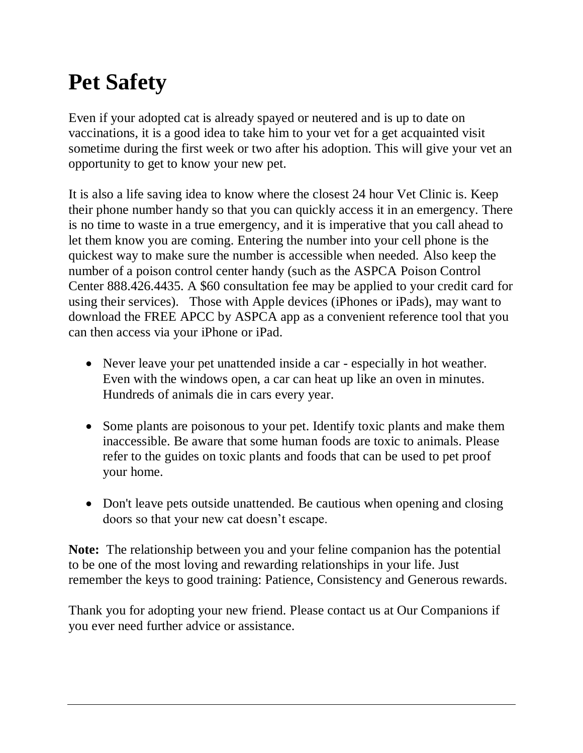# **Pet Safety**

Even if your adopted cat is already spayed or neutered and is up to date on vaccinations, it is a good idea to take him to your vet for a get acquainted visit sometime during the first week or two after his adoption. This will give your vet an opportunity to get to know your new pet.

It is also a life saving idea to know where the closest 24 hour Vet Clinic is. Keep their phone number handy so that you can quickly access it in an emergency. There is no time to waste in a true emergency, and it is imperative that you call ahead to let them know you are coming. Entering the number into your cell phone is the quickest way to make sure the number is accessible when needed. Also keep the number of a poison control center handy (such as the ASPCA Poison Control Center 888.426.4435. A \$60 consultation fee may be applied to your credit card for using their services). Those with Apple devices (iPhones or iPads), may want to download the FREE APCC by ASPCA app as a convenient reference tool that you can then access via your iPhone or iPad.

- Never leave your pet unattended inside a car especially in hot weather. Even with the windows open, a car can heat up like an oven in minutes. Hundreds of animals die in cars every year.
- Some plants are poisonous to your pet. Identify toxic plants and make them inaccessible. Be aware that some human foods are toxic to animals. Please refer to the guides on toxic plants and foods that can be used to pet proof your home.
- Don't leave pets outside unattended. Be cautious when opening and closing doors so that your new cat doesn't escape.

**Note:** The relationship between you and your feline companion has the potential to be one of the most loving and rewarding relationships in your life. Just remember the keys to good training: Patience, Consistency and Generous rewards.

Thank you for adopting your new friend. Please contact us at Our Companions if you ever need further advice or assistance.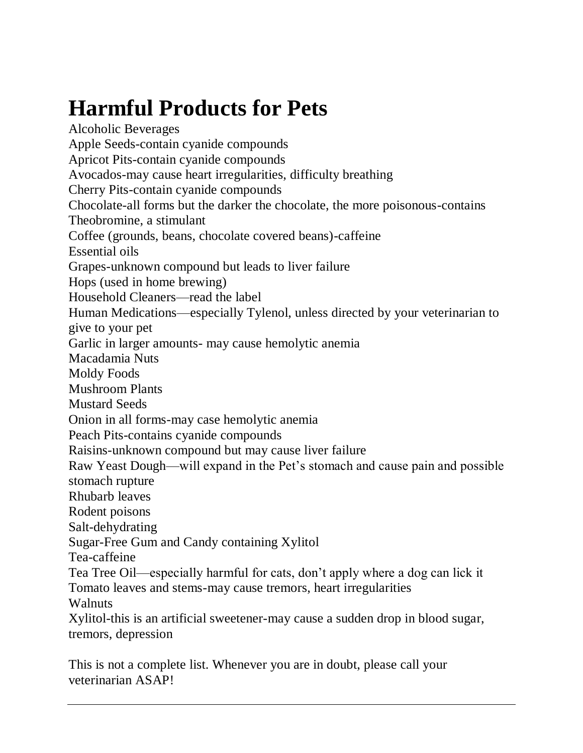# <span id="page-15-0"></span>**Harmful Products for Pets**

Alcoholic Beverages Apple Seeds-contain cyanide compounds Apricot Pits-contain cyanide compounds Avocados-may cause heart irregularities, difficulty breathing Cherry Pits-contain cyanide compounds Chocolate-all forms but the darker the chocolate, the more poisonous-contains Theobromine, a stimulant Coffee (grounds, beans, chocolate covered beans)-caffeine Essential oils Grapes-unknown compound but leads to liver failure Hops (used in home brewing) Household Cleaners—read the label Human Medications—especially Tylenol, unless directed by your veterinarian to give to your pet Garlic in larger amounts- may cause hemolytic anemia Macadamia Nuts Moldy Foods Mushroom Plants Mustard Seeds Onion in all forms-may case hemolytic anemia Peach Pits-contains cyanide compounds Raisins-unknown compound but may cause liver failure Raw Yeast Dough—will expand in the Pet's stomach and cause pain and possible stomach rupture Rhubarb leaves Rodent poisons Salt-dehydrating Sugar-Free Gum and Candy containing Xylitol Tea-caffeine Tea Tree Oil—especially harmful for cats, don't apply where a dog can lick it Tomato leaves and stems-may cause tremors, heart irregularities Walnuts Xylitol-this is an artificial sweetener-may cause a sudden drop in blood sugar, tremors, depression This is not a complete list. Whenever you are in doubt, please call your

<span id="page-15-1"></span>veterinarian ASAP!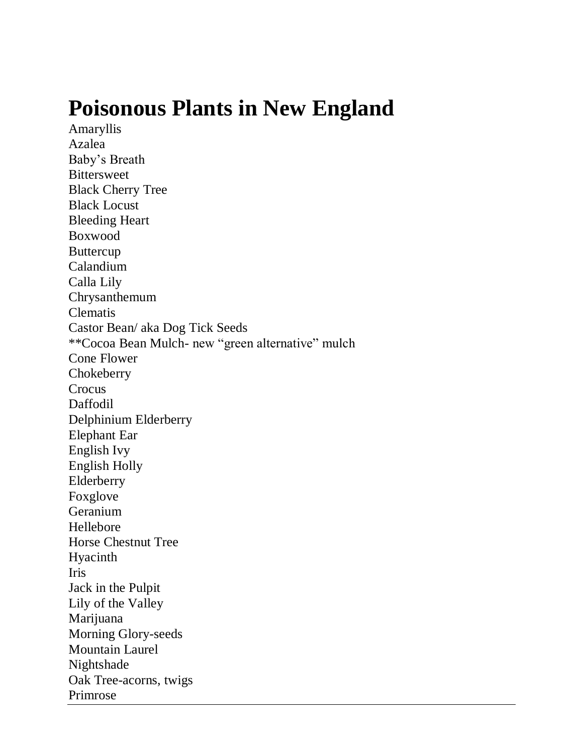## **Poisonous Plants in New England**

Amaryllis Azalea Baby's Breath Bittersweet Black Cherry Tree Black Locust Bleeding Heart Boxwood Buttercup Calandium Calla Lily Chrysanthemum Clematis Castor Bean/ aka Dog Tick Seeds \*\*Cocoa Bean Mulch- new "green alternative" mulch Cone Flower **Chokeberry** Crocus Daffodil Delphinium Elderberry Elephant Ear English Ivy English Holly Elderberry Foxglove Geranium Hellebore Horse Chestnut Tree Hyacinth Iris Jack in the Pulpit Lily of the Valley Marijuana Morning Glory-seeds Mountain Laurel Nightshade Oak Tree-acorns, twigs Primrose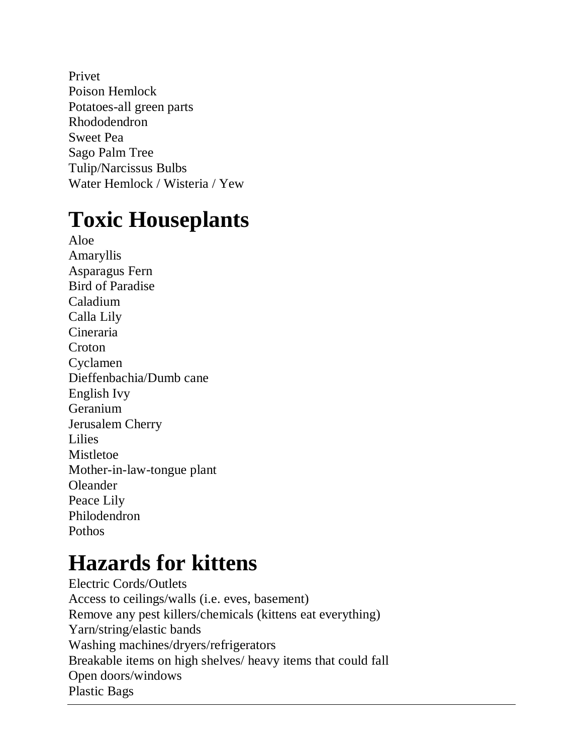Privet Poison Hemlock Potatoes-all green parts Rhododendron Sweet Pea Sago Palm Tree Tulip/Narcissus Bulbs Water Hemlock / Wisteria / Yew

## <span id="page-17-0"></span>**Toxic Houseplants**

Aloe Amaryllis Asparagus Fern Bird of Paradise Caladium Calla Lily Cineraria **Croton** Cyclamen Dieffenbachia/Dumb cane English Ivy Geranium Jerusalem Cherry Lilies Mistletoe Mother-in-law-tongue plant Oleander Peace Lily Philodendron **Pothos** 

# <span id="page-17-1"></span>**Hazards for kittens**

Electric Cords/Outlets Access to ceilings/walls (i.e. eves, basement) Remove any pest killers/chemicals (kittens eat everything) Yarn/string/elastic bands Washing machines/dryers/refrigerators Breakable items on high shelves/ heavy items that could fall Open doors/windows Plastic Bags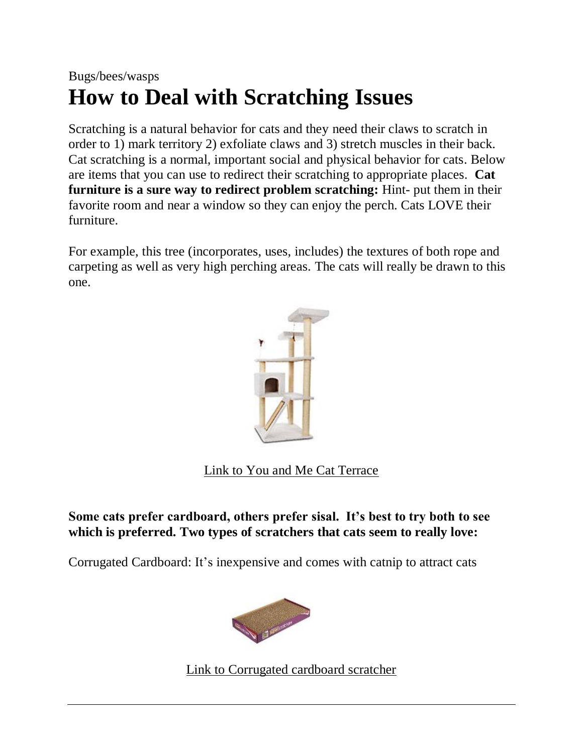### <span id="page-18-0"></span>Bugs/bees/wasps **How to Deal with [Scratching](#page-18-0) Issues**

Scratching is a natural behavior for cats and they need their claws to scratch in order to 1) mark territory 2) exfoliate claws and 3) stretch muscles in their back. Cat scratching is a normal, important social and physical behavior for cats. Below are items that you can use to redirect their scratching to appropriate places. **Cat furniture is a sure way to redirect problem scratching:** Hint- put them in their favorite room and near a window so they can enjoy the perch. Cats LOVE their furniture.

For example, this tree (incorporates, uses, includes) the textures of both rope and carpeting as well as very high perching areas. The cats will really be drawn to this one.



[Link to You and Me Cat Terrace](http://www.petco.com/shop/en/petcostore/cat/cat-furniture-and-scratchers/you-and-me-terrace-cat-tree)

#### **Some cats prefer cardboard, others prefer sisal. It's best to try both to see which is preferred. Two types of scratchers that cats seem to really love:**

Corrugated Cardboard: It's inexpensive and comes with catnip to attract cats



[Link to Corrugated cardboard scratcher](http://www.amazon.com/SmartyKat-Super-Scratcher-Corrugated-Catnip/dp/B00062B84O/ref=sr_1_4?s=pet-supplies&ie=UTF8&qid=1453910643&sr=1-4&keywords=ca)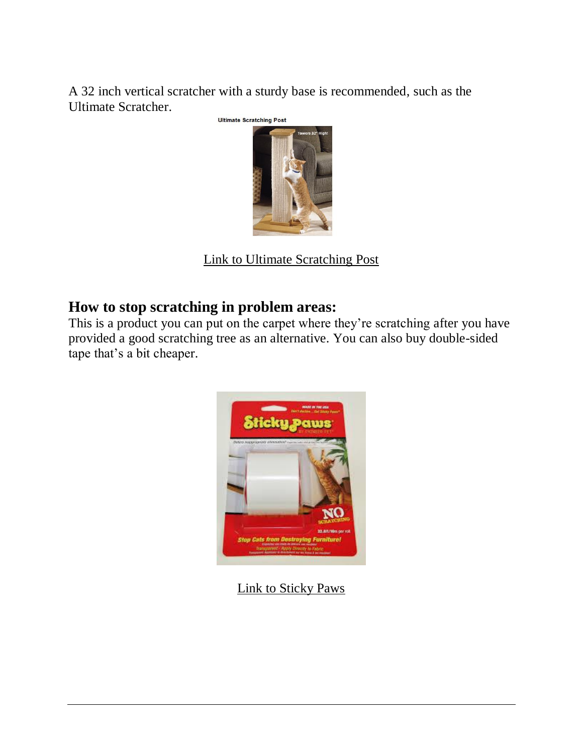A 32 inch vertical scratcher with a sturdy base is recommended, such as the Ultimate Scratcher.



[Link to Ultimate Scratching Post](http://www.amazon.com/SmartCat-3832-Ultimate-Scratching-Post/dp/B000634MH8/ref=sr_1_2?ie=UTF8&qid=1464017690&sr=8-2&keywords=ultimate+cat+scratcher)

#### **How to stop scratching in problem areas:**

This is a product you can put on the carpet where they're scratching after you have provided a good scratching tree as an alternative. You can also buy double-sided tape that's a bit cheaper.



[Link to Sticky Paws](https://www.chewy.com/smartcat-sticky-paws-on-roll/dp/49154?utm_source=google-product&utm_medium=cpc&utm_campaign=hg&utm_content=SmartCat&utm_term=&gclid=CLSNivyqh80CFcYdgQod8GYPzQ)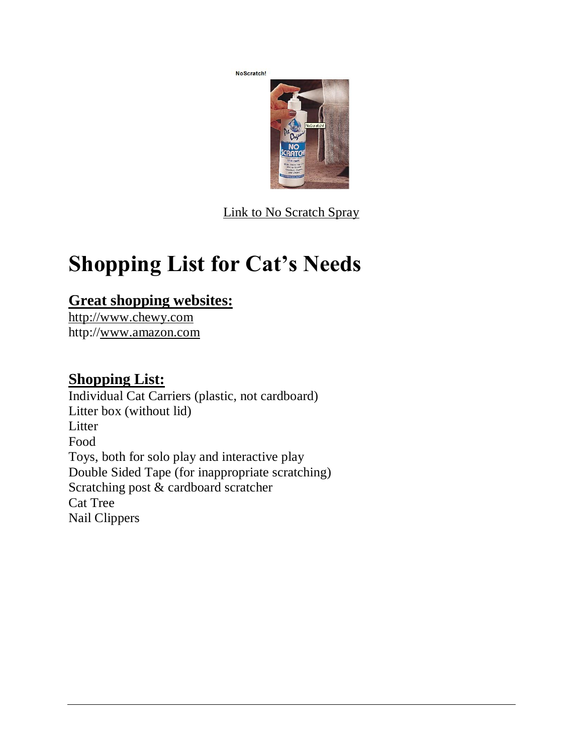No Scratch!



[Link to No Scratch Spray](http://www.drsfostersmith.com/product/prod_display.cfm?c=3261+1894+1093&pcatid=1093)

# <span id="page-20-0"></span>**Shopping List for Cat's Needs**

### **Great shopping websites:**

[http://www.chewy.com](http://www.chewy.com/) http:/[/www.amazon.com](http://www.amazon.com/)

### **Shopping List:**

Individual Cat Carriers (plastic, not cardboard) Litter box (without lid) Litter Food Toys, both for solo play and interactive play Double Sided Tape (for inappropriate scratching) Scratching post & cardboard scratcher Cat Tree Nail Clippers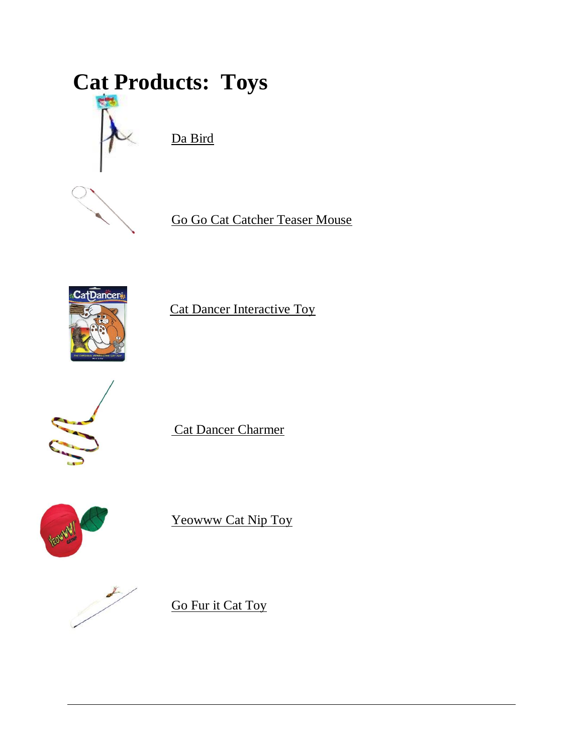# **Cat Products: Toys**



<span id="page-21-0"></span>[Da Bird](http://www.amazon.com/GoCat-Cat-Feather-Assorted-Colors/dp/B000F9JJJE)



[Go Go Cat Catcher Teaser Mouse](http://www.amazon.com/Go-Cat-Catcher-Teaser-Mouse/dp/B000LPOUNW/ref=sr_1_1?ie=UTF8&qid=1450797145&sr=8-1&keywords=cat+toys+mouse+string)



[Cat Dancer Interactive Toy](http://www.amazon.com/Cat-Dancer-101-Interactive-Toy/dp/B0006N9I68/ref=sr_1_24?s=pet-supplies&ie=UTF8&qid=1450797472&sr=1-24&keywords=cat+toys)



[Cat Dancer Charmer](http://www.amazon.com/Cat-Dancer-301-Charmer-Interactive/dp/B0002DHV16/ref=sr_1_2?s=pet-supplies&ie=UTF8&qid=1450797472&sr=1-2&keywords=cat+toys)



[Yeowww Cat Nip Toy](http://www.amazon.com/Yeowww-8-12402-00140-Catnip/dp/B000K90UE2/ref=sr_1_11?s=pet-supplies&ie=UTF8&qid=1450797861&sr=1-11&keywords=yeowww+catnip+toys)



[Go Fur it Cat Toy](http://www.amazon.com/PURRfect-Cat-Toys-Go-Fur--Toy/dp/B009DW20F4/ref=sr_1_sc_1?s=pet-supplies&ie=UTF8&qid=1453991513&sr=1-1-spell&keywords=go+furr+it+cat+toys)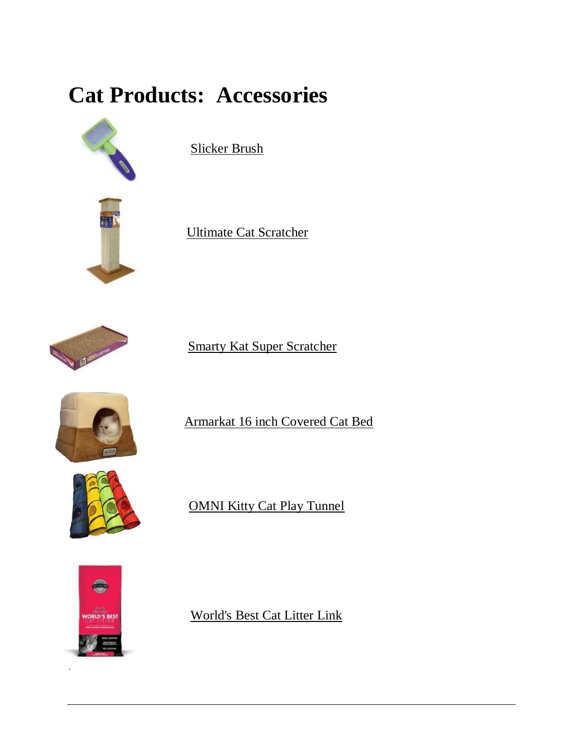# **Cat Products: Accessories**



<span id="page-22-0"></span>[Slicker Brush](http://www.amazon.com/Lil-Pals-W6202-Pals%C2%AE-Slicker/dp/B000O39TE6/ref=sr_1_1?s=pet-supplies&ie=UTF8&qid=1453486960&sr=1-1&keywords=lil+pals+slicker+brush)





[Smarty Kat Super Scratcher](http://www.amazon.com/SmartyKat-Super-Scratcher-Corrugated-Catnip/dp/B00062B84O/ref=sr_1_4?s=pet-supplies&ie=UTF8&qid=1453910643&sr=1-4&keywords=cardboard+cat+scratcher)



[Armarkat 16 inch Covered Cat Bed](http://www.amazon.com/Armarkat-16-Inch-Cat-Bed/dp/B005GSEC3W/ref=pd_sim_sbs_199_1?ie=UTF8&dpID=4152DTalbkL&dpSrc=sims&preST=_AC_UL160_SR160%2C160_&refRID=1HNDG6HMT4W63HJXJT6S)



[OMNI Kitty Cat Play Tunnel](http://www.amazon.com/OMNI-Kitty-Cat-Play-Tunnel/dp/B011OV063E/ref=sr_1_2?ie=UTF8&qid=1453992063&sr=8-2&keywords=cat+tunnels)



.

[World's Best Cat Litter Link](http://www.chewy.com/cat/worlds-best-cat-litter-scoopable/dp/37593)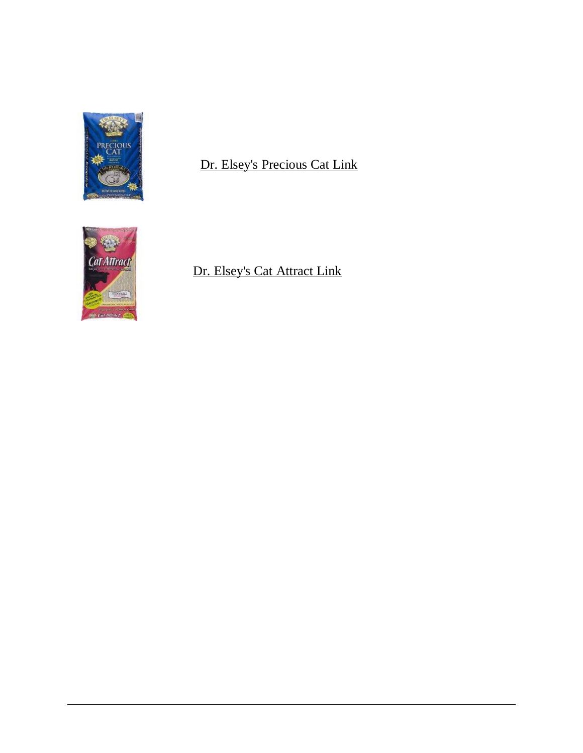

### [Dr. Elsey's Precious Cat Link](http://www.chewy.com/cat/dr-elseys-precious-cat-ultra/dp/32363)



### [Dr. Elsey's Cat Attract Link](http://www.amazon.com/Precious-Cat-Attract-Problem-Training/dp/B000PKY7YA/ref=sr_1_1?ie=UTF8&qid=1453910813&sr=8-1&keywords=cat+attract+cat+litter)